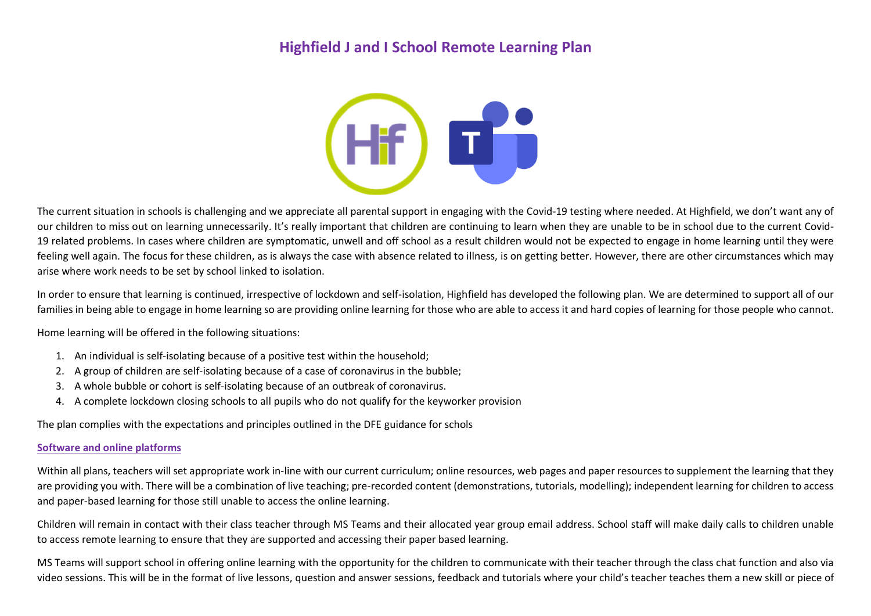# **Highfield J and I School Remote Learning Plan**



The current situation in schools is challenging and we appreciate all parental support in engaging with the Covid-19 testing where needed. At Highfield, we don't want any of our children to miss out on learning unnecessarily. It's really important that children are continuing to learn when they are unable to be in school due to the current Covid-19 related problems. In cases where children are symptomatic, unwell and off school as a result children would not be expected to engage in home learning until they were feeling well again. The focus for these children, as is always the case with absence related to illness, is on getting better. However, there are other circumstances which may arise where work needs to be set by school linked to isolation.

In order to ensure that learning is continued, irrespective of lockdown and self-isolation, Highfield has developed the following plan. We are determined to support all of our families in being able to engage in home learning so are providing online learning for those who are able to access it and hard copies of learning for those people who cannot.

Home learning will be offered in the following situations:

- 1. An individual is self-isolating because of a positive test within the household;
- 2. A group of children are self-isolating because of a case of coronavirus in the bubble;
- 3. A whole bubble or cohort is self-isolating because of an outbreak of coronavirus.
- 4. A complete lockdown closing schools to all pupils who do not qualify for the keyworker provision

The plan complies with the expectations and principles outlined in the DFE guidance for schols

#### **Software and online platforms**

Within all plans, teachers will set appropriate work in-line with our current curriculum; online resources, web pages and paper resources to supplement the learning that they are providing you with. There will be a combination of live teaching; pre-recorded content (demonstrations, tutorials, modelling); independent learning for children to access and paper-based learning for those still unable to access the online learning.

Children will remain in contact with their class teacher through MS Teams and their allocated year group email address. School staff will make daily calls to children unable to access remote learning to ensure that they are supported and accessing their paper based learning.

MS Teams will support school in offering online learning with the opportunity for the children to communicate with their teacher through the class chat function and also via video sessions. This will be in the format of live lessons, question and answer sessions, feedback and tutorials where your child's teacher teaches them a new skill or piece of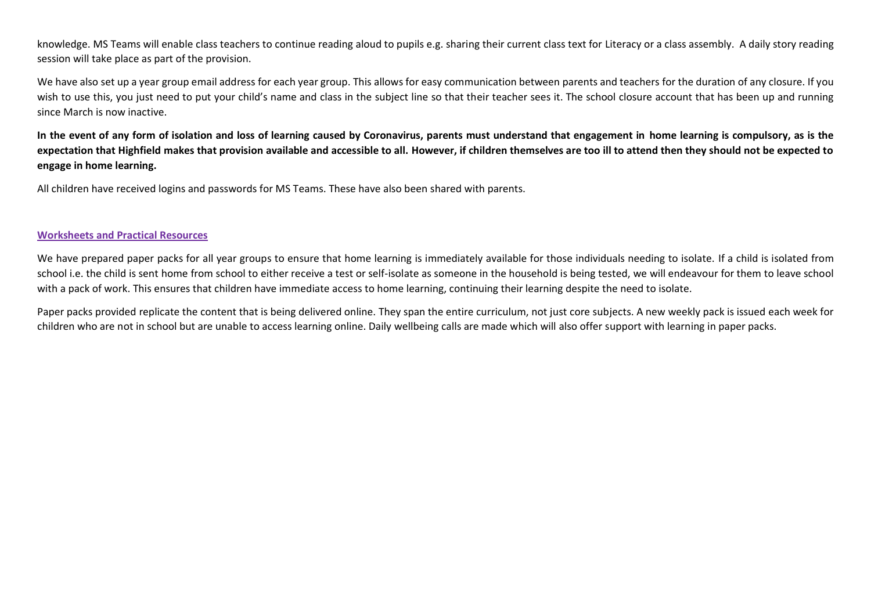knowledge. MS Teams will enable class teachers to continue reading aloud to pupils e.g. sharing their current class text for Literacy or a class assembly. A daily story reading session will take place as part of the provision.

We have also set up a year group email address for each year group. This allows for easy communication between parents and teachers for the duration of any closure. If you wish to use this, you just need to put your child's name and class in the subject line so that their teacher sees it. The school closure account that has been up and running since March is now inactive.

**In the event of any form of isolation and loss of learning caused by Coronavirus, parents must understand that engagement in home learning is compulsory, as is the expectation that Highfield makes that provision available and accessible to all. However, if children themselves are too ill to attend then they should not be expected to engage in home learning.**

All children have received logins and passwords for MS Teams. These have also been shared with parents.

### **Worksheets and Practical Resources**

We have prepared paper packs for all year groups to ensure that home learning is immediately available for those individuals needing to isolate. If a child is isolated from school i.e. the child is sent home from school to either receive a test or self-isolate as someone in the household is being tested, we will endeavour for them to leave school with a pack of work. This ensures that children have immediate access to home learning, continuing their learning despite the need to isolate.

Paper packs provided replicate the content that is being delivered online. They span the entire curriculum, not just core subjects. A new weekly pack is issued each week for children who are not in school but are unable to access learning online. Daily wellbeing calls are made which will also offer support with learning in paper packs.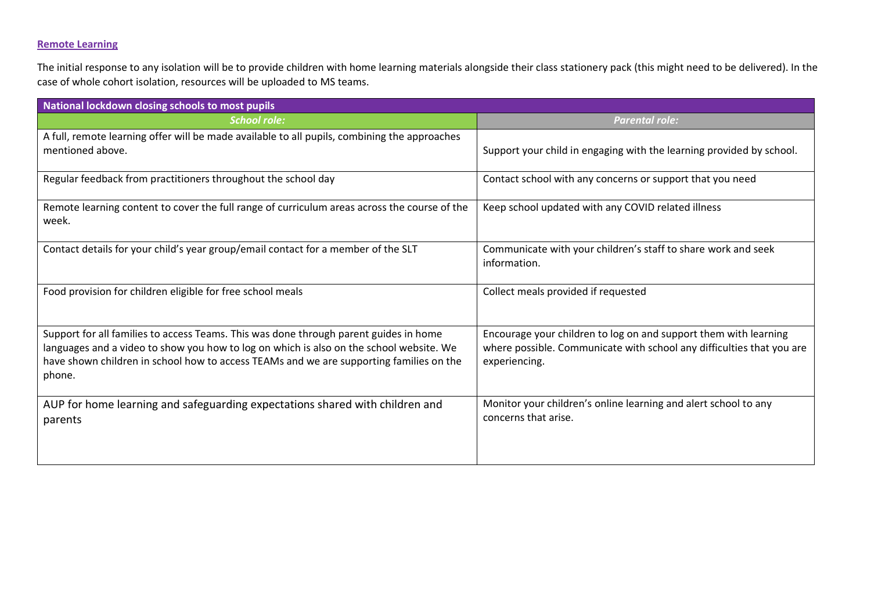### **Remote Learning**

The initial response to any isolation will be to provide children with home learning materials alongside their class stationery pack (this might need to be delivered). In the case of whole cohort isolation, resources will be uploaded to MS teams.

| National lockdown closing schools to most pupils                                                                                                                                                                                                                                      |                                                                                                                                                            |  |
|---------------------------------------------------------------------------------------------------------------------------------------------------------------------------------------------------------------------------------------------------------------------------------------|------------------------------------------------------------------------------------------------------------------------------------------------------------|--|
| <b>School role:</b>                                                                                                                                                                                                                                                                   | <b>Parental role:</b>                                                                                                                                      |  |
| A full, remote learning offer will be made available to all pupils, combining the approaches<br>mentioned above.                                                                                                                                                                      | Support your child in engaging with the learning provided by school.                                                                                       |  |
| Regular feedback from practitioners throughout the school day                                                                                                                                                                                                                         | Contact school with any concerns or support that you need                                                                                                  |  |
| Remote learning content to cover the full range of curriculum areas across the course of the<br>week.                                                                                                                                                                                 | Keep school updated with any COVID related illness                                                                                                         |  |
| Contact details for your child's year group/email contact for a member of the SLT                                                                                                                                                                                                     | Communicate with your children's staff to share work and seek<br>information.                                                                              |  |
| Food provision for children eligible for free school meals                                                                                                                                                                                                                            | Collect meals provided if requested                                                                                                                        |  |
| Support for all families to access Teams. This was done through parent guides in home<br>languages and a video to show you how to log on which is also on the school website. We<br>have shown children in school how to access TEAMs and we are supporting families on the<br>phone. | Encourage your children to log on and support them with learning<br>where possible. Communicate with school any difficulties that you are<br>experiencing. |  |
| AUP for home learning and safeguarding expectations shared with children and<br>parents                                                                                                                                                                                               | Monitor your children's online learning and alert school to any<br>concerns that arise.                                                                    |  |